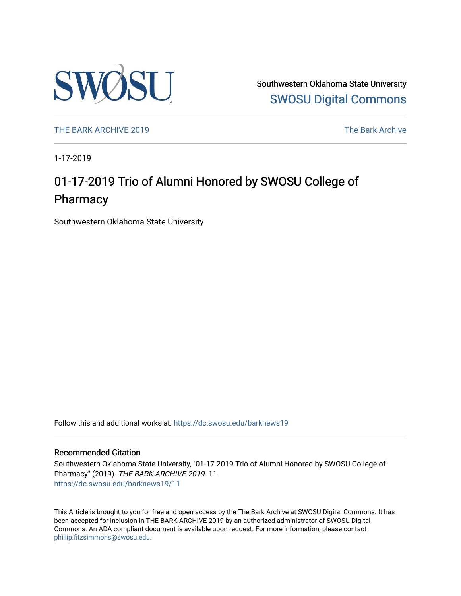

Southwestern Oklahoma State University [SWOSU Digital Commons](https://dc.swosu.edu/) 

[THE BARK ARCHIVE 2019](https://dc.swosu.edu/barknews19) The Bark Archive

1-17-2019

## 01-17-2019 Trio of Alumni Honored by SWOSU College of Pharmacy

Southwestern Oklahoma State University

Follow this and additional works at: [https://dc.swosu.edu/barknews19](https://dc.swosu.edu/barknews19?utm_source=dc.swosu.edu%2Fbarknews19%2F11&utm_medium=PDF&utm_campaign=PDFCoverPages)

#### Recommended Citation

Southwestern Oklahoma State University, "01-17-2019 Trio of Alumni Honored by SWOSU College of Pharmacy" (2019). THE BARK ARCHIVE 2019. 11. [https://dc.swosu.edu/barknews19/11](https://dc.swosu.edu/barknews19/11?utm_source=dc.swosu.edu%2Fbarknews19%2F11&utm_medium=PDF&utm_campaign=PDFCoverPages) 

This Article is brought to you for free and open access by the The Bark Archive at SWOSU Digital Commons. It has been accepted for inclusion in THE BARK ARCHIVE 2019 by an authorized administrator of SWOSU Digital Commons. An ADA compliant document is available upon request. For more information, please contact [phillip.fitzsimmons@swosu.edu](mailto:phillip.fitzsimmons@swosu.edu).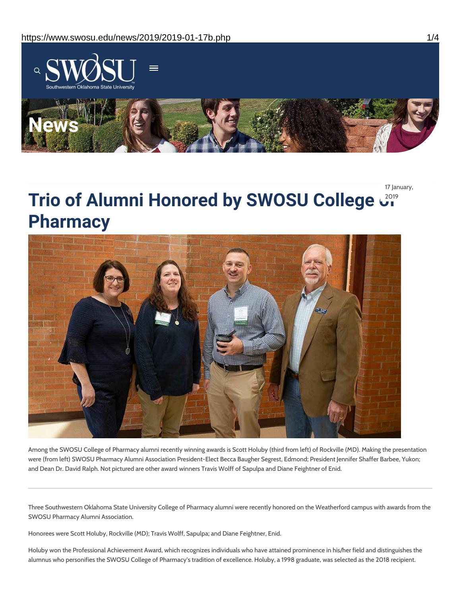

17 January,

# **Trio of Alumni Honored by SWOSU College of** 2019 **Pharmacy**



Among the SWOSU College of Pharmacy alumni recently winning awards is Scott Holuby (third from left) of Rockville (MD). Making the presentation were (from left) SWOSU Pharmacy Alumni Association President-Elect Becca Baugher Segrest, Edmond; President Jennifer Shaffer Barbee, Yukon; and Dean Dr. David Ralph. Not pictured are other award winners Travis Wolff of Sapulpa and Diane Feightner of Enid.

Three Southwestern Oklahoma State University College of Pharmacy alumni were recently honored on the Weatherford campus with awards from the SWOSU Pharmacy Alumni Association.

Honorees were Scott Holuby, Rockville (MD); Travis Wolff, Sapulpa; and Diane Feightner, Enid.

Holuby won the Professional Achievement Award, which recognizes individuals who have attained prominence in his/her field and distinguishes the alumnus who personifies the SWOSU College of Pharmacy's tradition of excellence. Holuby, a 1998 graduate, was selected as the 2018 recipient.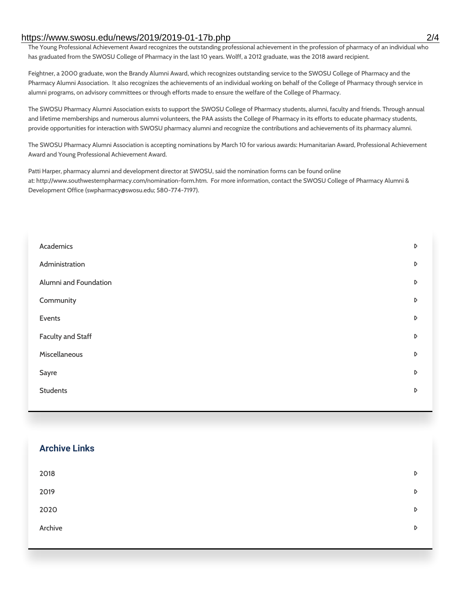#### https://www.swosu.edu/news/2019/2019-01-17b.php 2/4

The Young Professional Achievement Award recognizes the outstanding professional achievement in the profession of pharmacy of an individual who has graduated from the SWOSU College of Pharmacy in the last 10 years. Wolff, a 2012 graduate, was the 2018 award recipient.

Feightner, a 2000 graduate, won the Brandy Alumni Award, which recognizes outstanding service to the SWOSU College of Pharmacy and the Pharmacy Alumni Association. It also recognizes the achievements of an individual working on behalf of the College of Pharmacy through service in alumni programs, on advisory committees or through efforts made to ensure the welfare of the College of Pharmacy.

The SWOSU Pharmacy Alumni Association exists to support the SWOSU College of Pharmacy students, alumni, faculty and friends. Through annual and lifetime memberships and numerous alumni volunteers, the PAA assists the College of Pharmacy in its efforts to educate pharmacy students, provide opportunities for interaction with SWOSU pharmacy alumni and recognize the contributions and achievements of its pharmacy alumni.

The SWOSU Pharmacy Alumni Association is accepting nominations by March 10 for various awards: Humanitarian Award, Professional Achievement Award and Young Professional Achievement Award.

Patti Harper, pharmacy alumni and development director at SWOSU, said the nomination forms can be found online at: http://www.southwesternpharmacy.com/nomination-form.htm. For more information, contact the SWOSU College of Pharmacy Alumni & Development Office (swpharmacy@swosu.edu; 580-774-7197).

| Academics                | $\triangleright$ |
|--------------------------|------------------|
| Administration           | $\triangleright$ |
| Alumni and Foundation    | $\triangleright$ |
| Community                | D                |
| Events                   | $\triangleright$ |
| <b>Faculty and Staff</b> | D                |
| Miscellaneous            | D                |
| Sayre                    | D                |
| <b>Students</b>          | D                |
|                          |                  |

# **Archive Links**  $2018$  $2019$ [2020](https://www.swosu.edu/news/2020/index.php)  $\bullet$ [Archive](https://dc.swosu.edu/bark/) **Archive Archive Archive Archive Archive** Archive Archive Archive Archive Archive Archive Archive Archive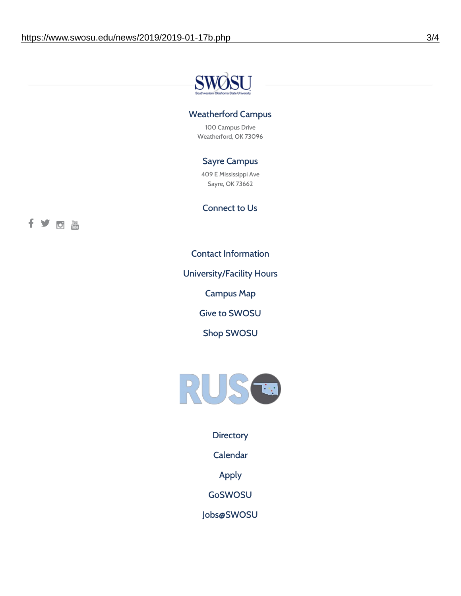

### Weatherford Campus

100 Campus Drive Weatherford, OK 73096

### Sayre Campus

409 E Mississippi Ave Sayre, OK 73662

Connect to Us



Contact [Information](https://www.swosu.edu/about/contact.php)

[University/Facility](https://www.swosu.edu/about/operating-hours.php) Hours

[Campus](https://map.concept3d.com/?id=768#!ct/10964,10214,10213,10212,10205,10204,10203,10202,10136,10129,10128,0,31226,10130,10201,10641,0) Map

Give to [SWOSU](https://standingfirmly.com/donate)

Shop [SWOSU](https://shopswosu.merchorders.com/)



**[Directory](https://www.swosu.edu/directory/index.php)** 

[Calendar](https://eventpublisher.dudesolutions.com/swosu/)

[Apply](https://www.swosu.edu/admissions/apply-to-swosu.php)

[GoSWOSU](https://qlsso.quicklaunchsso.com/home/1267)

[Jobs@SWOSU](https://swosu.csod.com/ux/ats/careersite/1/home?c=swosu)